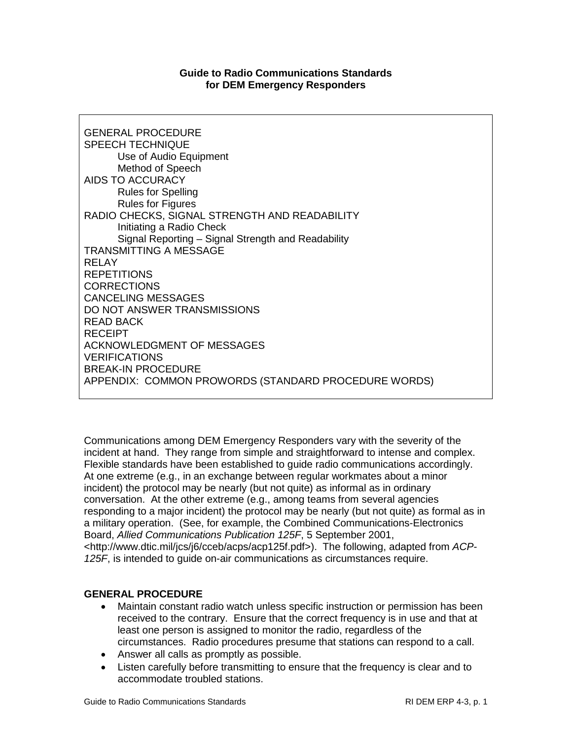#### **Guide to Radio Communications Standards for DEM Emergency Responders**

GENERAL PROCEDURE SPEECH TECHNIQUE Use of Audio Equipment Method of Speech AIDS TO ACCURACY Rules for Spelling Rules for Figures RADIO CHECKS, SIGNAL STRENGTH AND READABILITY Initiating a Radio Check Signal Reporting – Signal Strength and Readability TRANSMITTING A MESSAGE RELAY REPETITIONS **CORRECTIONS** CANCELING MESSAGES DO NOT ANSWER TRANSMISSIONS READ BACK RECEIPT ACKNOWLEDGMENT OF MESSAGES **VERIFICATIONS** BREAK-IN PROCEDURE APPENDIX: COMMON PROWORDS (STANDARD PROCEDURE WORDS)

Communications among DEM Emergency Responders vary with the severity of the incident at hand. They range from simple and straightforward to intense and complex. Flexible standards have been established to guide radio communications accordingly. At one extreme (e.g., in an exchange between regular workmates about a minor incident) the protocol may be nearly (but not quite) as informal as in ordinary conversation. At the other extreme (e.g., among teams from several agencies responding to a major incident) the protocol may be nearly (but not quite) as formal as in a military operation. (See, for example, the Combined Communications-Electronics Board, *Allied Communications Publication 125F*, 5 September 2001, <http://www.dtic.mil/jcs/j6/cceb/acps/acp125f.pdf>). The following, adapted from *ACP-125F*, is intended to guide on-air communications as circumstances require.

#### **GENERAL PROCEDURE**

- Maintain constant radio watch unless specific instruction or permission has been received to the contrary. Ensure that the correct frequency is in use and that at least one person is assigned to monitor the radio, regardless of the circumstances. Radio procedures presume that stations can respond to a call.
- Answer all calls as promptly as possible.
- Listen carefully before transmitting to ensure that the frequency is clear and to accommodate troubled stations.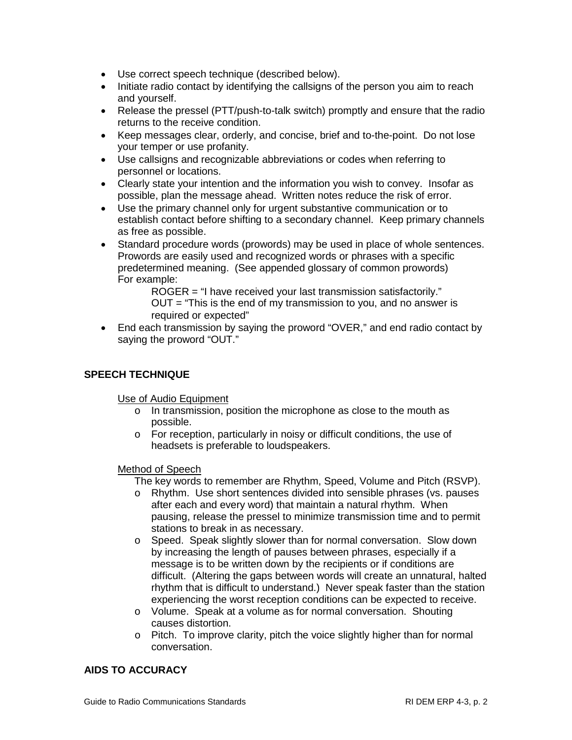- Use correct speech technique (described below).
- Initiate radio contact by identifying the callsigns of the person you aim to reach and yourself.
- Release the pressel (PTT/push-to-talk switch) promptly and ensure that the radio returns to the receive condition.
- Keep messages clear, orderly, and concise, brief and to-the-point. Do not lose your temper or use profanity.
- Use callsigns and recognizable abbreviations or codes when referring to personnel or locations.
- Clearly state your intention and the information you wish to convey. Insofar as possible, plan the message ahead. Written notes reduce the risk of error.
- Use the primary channel only for urgent substantive communication or to establish contact before shifting to a secondary channel. Keep primary channels as free as possible.
- Standard procedure words (prowords) may be used in place of whole sentences. Prowords are easily used and recognized words or phrases with a specific predetermined meaning. (See appended glossary of common prowords) For example:

ROGER = "I have received your last transmission satisfactorily." OUT = "This is the end of my transmission to you, and no answer is required or expected"

• End each transmission by saying the proword "OVER," and end radio contact by saying the proword "OUT."

## **SPEECH TECHNIQUE**

Use of Audio Equipment

- o In transmission, position the microphone as close to the mouth as possible.
- o For reception, particularly in noisy or difficult conditions, the use of headsets is preferable to loudspeakers.

#### Method of Speech

The key words to remember are Rhythm, Speed, Volume and Pitch (RSVP).

- o Rhythm. Use short sentences divided into sensible phrases (vs. pauses after each and every word) that maintain a natural rhythm. When pausing, release the pressel to minimize transmission time and to permit stations to break in as necessary.
- o Speed. Speak slightly slower than for normal conversation. Slow down by increasing the length of pauses between phrases, especially if a message is to be written down by the recipients or if conditions are difficult. (Altering the gaps between words will create an unnatural, halted rhythm that is difficult to understand.) Never speak faster than the station experiencing the worst reception conditions can be expected to receive.
- o Volume. Speak at a volume as for normal conversation. Shouting causes distortion.
- o Pitch. To improve clarity, pitch the voice slightly higher than for normal conversation.

### **AIDS TO ACCURACY**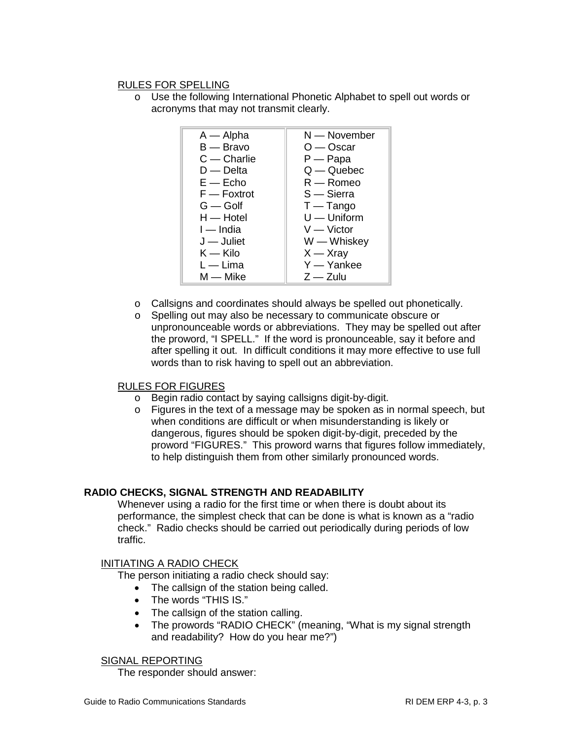### RULES FOR SPELLING

o Use the following International Phonetic Alphabet to spell out words or acronyms that may not transmit clearly.

| $A - A$ lpha        | N — November  |
|---------------------|---------------|
| B — Bravo           | O — Oscar     |
| $C -$ Charlie       | $P - P$ apa   |
| $D -$ Delta         | $Q - Q$ uebec |
| $E - E$ cho         | $R -$ Romeo   |
| $F -$ Foxtrot       | $S -$ Sierra  |
| $G -$ Golf          | $T - Tango$   |
| $H - H$ otel        | $U -$ Uniform |
| $I$ - India         | $V -$ Victor  |
| $J -$ Juliet        | W — Whiskey   |
| $\mathsf{K}$ — Kilo | $X - Xray$    |
| $L - Lima$          | $Y - Y$ ankee |
| M — Mike            | $Z - Z$ ulu   |

- o Callsigns and coordinates should always be spelled out phonetically.
- o Spelling out may also be necessary to communicate obscure or unpronounceable words or abbreviations. They may be spelled out after the proword, "I SPELL." If the word is pronounceable, say it before and after spelling it out. In difficult conditions it may more effective to use full words than to risk having to spell out an abbreviation.

### RULES FOR FIGURES

- o Begin radio contact by saying callsigns digit-by-digit.
- o Figures in the text of a message may be spoken as in normal speech, but when conditions are difficult or when misunderstanding is likely or dangerous, figures should be spoken digit-by-digit, preceded by the proword "FIGURES." This proword warns that figures follow immediately, to help distinguish them from other similarly pronounced words.

### **RADIO CHECKS, SIGNAL STRENGTH AND READABILITY**

Whenever using a radio for the first time or when there is doubt about its performance, the simplest check that can be done is what is known as a "radio check." Radio checks should be carried out periodically during periods of low traffic.

### INITIATING A RADIO CHECK

The person initiating a radio check should say:

- The callsign of the station being called.
- The words "THIS IS."
- The callsign of the station calling.
- The prowords "RADIO CHECK" (meaning, "What is my signal strength and readability? How do you hear me?")

#### SIGNAL REPORTING

The responder should answer: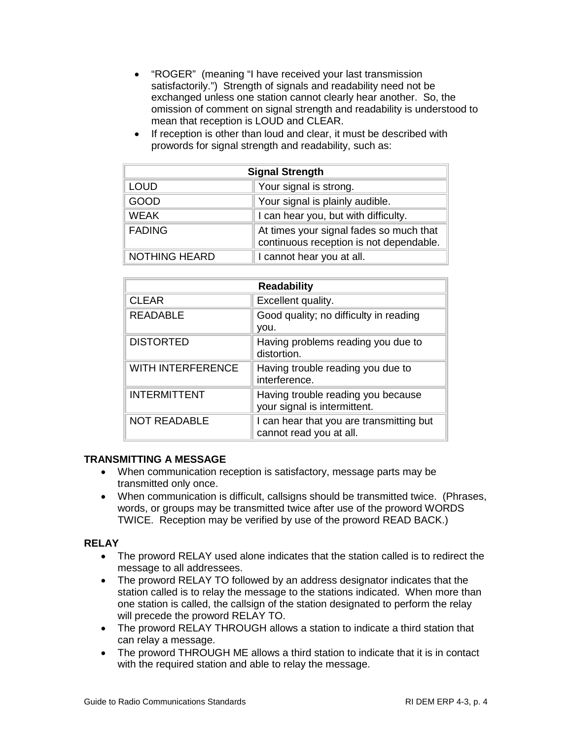- "ROGER" (meaning "I have received your last transmission satisfactorily.") Strength of signals and readability need not be exchanged unless one station cannot clearly hear another. So, the omission of comment on signal strength and readability is understood to mean that reception is LOUD and CLEAR.
- If reception is other than loud and clear, it must be described with prowords for signal strength and readability, such as:

| <b>Signal Strength</b> |                                                                                    |
|------------------------|------------------------------------------------------------------------------------|
| <b>LOUD</b>            | Your signal is strong.                                                             |
| <b>GOOD</b>            | Your signal is plainly audible.                                                    |
| <b>WEAK</b>            | I can hear you, but with difficulty.                                               |
| <b>FADING</b>          | At times your signal fades so much that<br>continuous reception is not dependable. |
| <b>NOTHING HEARD</b>   | I cannot hear you at all.                                                          |

| <b>Readability</b>       |                                                                     |
|--------------------------|---------------------------------------------------------------------|
| <b>CLEAR</b>             | Excellent quality.                                                  |
| <b>READABLE</b>          | Good quality; no difficulty in reading<br>vou.                      |
| <b>DISTORTED</b>         | Having problems reading you due to<br>distortion.                   |
| <b>WITH INTERFERENCE</b> | Having trouble reading you due to<br>interference.                  |
| <b>INTERMITTENT</b>      | Having trouble reading you because<br>your signal is intermittent.  |
| <b>NOT READABLE</b>      | I can hear that you are transmitting but<br>cannot read you at all. |

# **TRANSMITTING A MESSAGE**

- When communication reception is satisfactory, message parts may be transmitted only once.
- When communication is difficult, callsigns should be transmitted twice. (Phrases, words, or groups may be transmitted twice after use of the proword WORDS TWICE. Reception may be verified by use of the proword READ BACK.)

### **RELAY**

- The proword RELAY used alone indicates that the station called is to redirect the message to all addressees.
- The proword RELAY TO followed by an address designator indicates that the station called is to relay the message to the stations indicated. When more than one station is called, the callsign of the station designated to perform the relay will precede the proword RELAY TO.
- The proword RELAY THROUGH allows a station to indicate a third station that can relay a message.
- The proword THROUGH ME allows a third station to indicate that it is in contact with the required station and able to relay the message.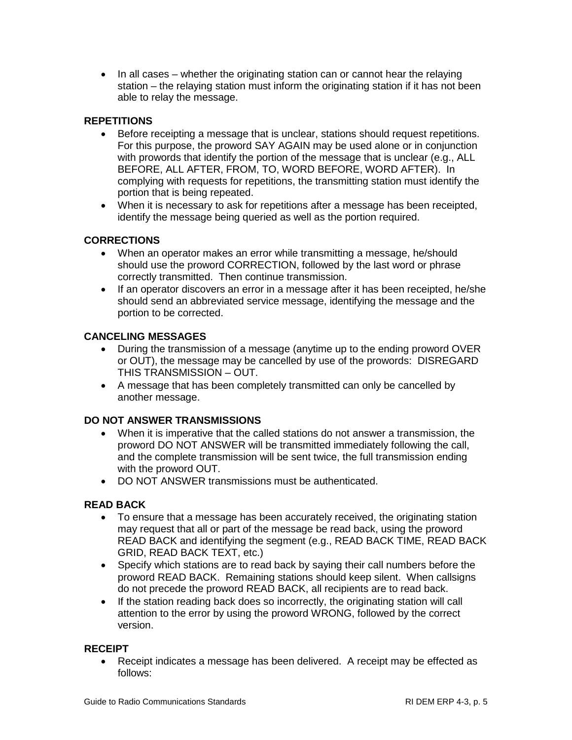• In all cases – whether the originating station can or cannot hear the relaying station – the relaying station must inform the originating station if it has not been able to relay the message.

## **REPETITIONS**

- Before receipting a message that is unclear, stations should request repetitions. For this purpose, the proword SAY AGAIN may be used alone or in conjunction with prowords that identify the portion of the message that is unclear (e.g., ALL BEFORE, ALL AFTER, FROM, TO, WORD BEFORE, WORD AFTER). In complying with requests for repetitions, the transmitting station must identify the portion that is being repeated.
- When it is necessary to ask for repetitions after a message has been receipted, identify the message being queried as well as the portion required.

## **CORRECTIONS**

- When an operator makes an error while transmitting a message, he/should should use the proword CORRECTION, followed by the last word or phrase correctly transmitted. Then continue transmission.
- If an operator discovers an error in a message after it has been receipted, he/she should send an abbreviated service message, identifying the message and the portion to be corrected.

## **CANCELING MESSAGES**

- During the transmission of a message (anytime up to the ending proword OVER or OUT), the message may be cancelled by use of the prowords: DISREGARD THIS TRANSMISSION – OUT.
- A message that has been completely transmitted can only be cancelled by another message.

### **DO NOT ANSWER TRANSMISSIONS**

- When it is imperative that the called stations do not answer a transmission, the proword DO NOT ANSWER will be transmitted immediately following the call, and the complete transmission will be sent twice, the full transmission ending with the proword OUT.
- DO NOT ANSWER transmissions must be authenticated.

### **READ BACK**

- To ensure that a message has been accurately received, the originating station may request that all or part of the message be read back, using the proword READ BACK and identifying the segment (e.g., READ BACK TIME, READ BACK GRID, READ BACK TEXT, etc.)
- Specify which stations are to read back by saying their call numbers before the proword READ BACK. Remaining stations should keep silent. When callsigns do not precede the proword READ BACK, all recipients are to read back.
- If the station reading back does so incorrectly, the originating station will call attention to the error by using the proword WRONG, followed by the correct version.

### **RECEIPT**

• Receipt indicates a message has been delivered. A receipt may be effected as follows: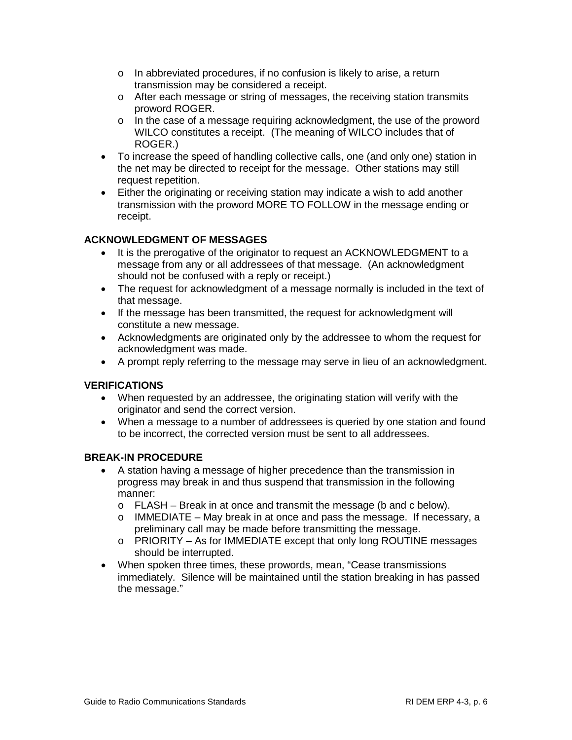- o In abbreviated procedures, if no confusion is likely to arise, a return transmission may be considered a receipt.
- o After each message or string of messages, the receiving station transmits proword ROGER.
- $\circ$  In the case of a message requiring acknowledgment, the use of the proword WILCO constitutes a receipt. (The meaning of WILCO includes that of ROGER.)
- To increase the speed of handling collective calls, one (and only one) station in the net may be directed to receipt for the message. Other stations may still request repetition.
- Either the originating or receiving station may indicate a wish to add another transmission with the proword MORE TO FOLLOW in the message ending or receipt.

# **ACKNOWLEDGMENT OF MESSAGES**

- It is the prerogative of the originator to request an ACKNOWLEDGMENT to a message from any or all addressees of that message. (An acknowledgment should not be confused with a reply or receipt.)
- The request for acknowledgment of a message normally is included in the text of that message.
- If the message has been transmitted, the request for acknowledgment will constitute a new message.
- Acknowledgments are originated only by the addressee to whom the request for acknowledgment was made.
- A prompt reply referring to the message may serve in lieu of an acknowledgment.

### **VERIFICATIONS**

- When requested by an addressee, the originating station will verify with the originator and send the correct version.
- When a message to a number of addressees is queried by one station and found to be incorrect, the corrected version must be sent to all addressees.

### **BREAK-IN PROCEDURE**

- A station having a message of higher precedence than the transmission in progress may break in and thus suspend that transmission in the following manner:
	- o FLASH Break in at once and transmit the message (b and c below).
	- $\circ$  IMMEDIATE May break in at once and pass the message. If necessary, a preliminary call may be made before transmitting the message.
	- o PRIORITY As for IMMEDIATE except that only long ROUTINE messages should be interrupted.
- When spoken three times, these prowords, mean, "Cease transmissions immediately. Silence will be maintained until the station breaking in has passed the message."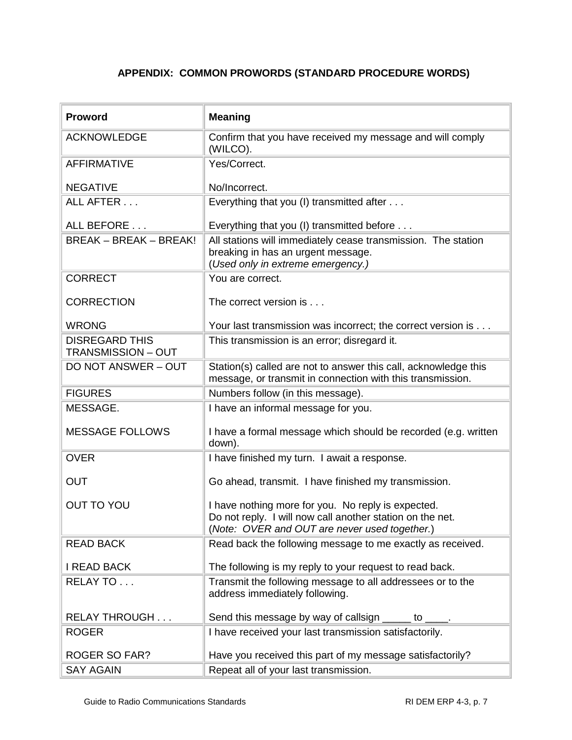# **APPENDIX: COMMON PROWORDS (STANDARD PROCEDURE WORDS)**

| <b>Proword</b>                                     | <b>Meaning</b>                                                                                                                                                   |
|----------------------------------------------------|------------------------------------------------------------------------------------------------------------------------------------------------------------------|
| <b>ACKNOWLEDGE</b>                                 | Confirm that you have received my message and will comply<br>(WILCO).                                                                                            |
| <b>AFFIRMATIVE</b>                                 | Yes/Correct.                                                                                                                                                     |
| <b>NEGATIVE</b>                                    | No/Incorrect.                                                                                                                                                    |
| ALL AFTER                                          | Everything that you (I) transmitted after                                                                                                                        |
| ALL BEFORE                                         | Everything that you (I) transmitted before                                                                                                                       |
| <b>BREAK - BREAK - BREAK!</b>                      | All stations will immediately cease transmission. The station<br>breaking in has an urgent message.<br>(Used only in extreme emergency.)                         |
| <b>CORRECT</b>                                     | You are correct.                                                                                                                                                 |
| <b>CORRECTION</b>                                  | The correct version is                                                                                                                                           |
| <b>WRONG</b>                                       | Your last transmission was incorrect; the correct version is                                                                                                     |
| <b>DISREGARD THIS</b><br><b>TRANSMISSION - OUT</b> | This transmission is an error; disregard it.                                                                                                                     |
| DO NOT ANSWER - OUT                                | Station(s) called are not to answer this call, acknowledge this<br>message, or transmit in connection with this transmission.                                    |
| <b>FIGURES</b>                                     | Numbers follow (in this message).                                                                                                                                |
| MESSAGE.                                           | I have an informal message for you.                                                                                                                              |
| <b>MESSAGE FOLLOWS</b>                             | I have a formal message which should be recorded (e.g. written<br>down).                                                                                         |
| <b>OVER</b>                                        | I have finished my turn. I await a response.                                                                                                                     |
| <b>OUT</b>                                         | Go ahead, transmit. I have finished my transmission.                                                                                                             |
| <b>OUT TO YOU</b>                                  | I have nothing more for you. No reply is expected.<br>Do not reply. I will now call another station on the net.<br>(Note: OVER and OUT are never used together.) |
| <b>READ BACK</b>                                   | Read back the following message to me exactly as received.                                                                                                       |
| <b>I READ BACK</b>                                 | The following is my reply to your request to read back.                                                                                                          |
| RELAY TO                                           | Transmit the following message to all addressees or to the<br>address immediately following.                                                                     |
| <b>RELAY THROUGH</b>                               | Send this message by way of callsign _____ to ____.                                                                                                              |
| <b>ROGER</b>                                       | I have received your last transmission satisfactorily.                                                                                                           |
| <b>ROGER SO FAR?</b>                               | Have you received this part of my message satisfactorily?                                                                                                        |
| <b>SAY AGAIN</b>                                   | Repeat all of your last transmission.                                                                                                                            |